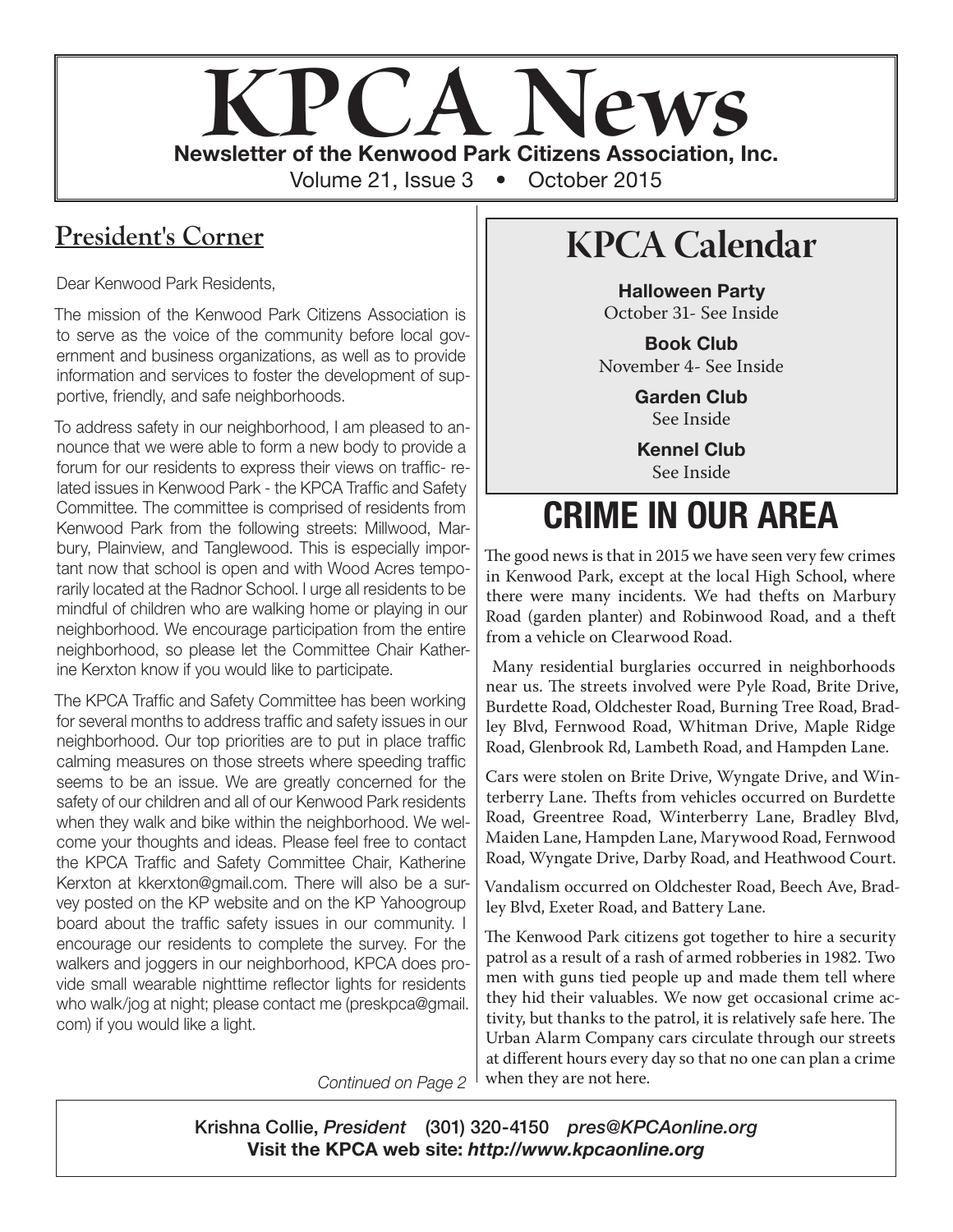

# **President's Corner**

Dear Kenwood Park Residents,

The mission of the Kenwood Park Citizens Association is to serve as the voice of the community before local government and business organizations, as well as to provide information and services to foster the development of supportive, friendly, and safe neighborhoods.

To address safety in our neighborhood, I am pleased to announce that we were able to form a new body to provide a forum for our residents to express their views on traffic- related issues in Kenwood Park - the KPCA Traffic and Safety Committee. The committee is comprised of residents from Kenwood Park from the following streets: Millwood, Marbury, Plainview, and Tanglewood. This is especially important now that school is open and with Wood Acres temporarily located at the Radnor School. I urge all residents to be mindful of children who are walking home or playing in our neighborhood. We encourage participation from the entire neighborhood, so please let the Committee Chair Katherine Kerxton know if you would like to participate.

The KPCA Traffic and Safety Committee has been working for several months to address traffic and safety issues in our neighborhood. Our top priorities are to put in place traffic calming measures on those streets where speeding traffic seems to be an issue. We are greatly concerned for the safety of our children and all of our Kenwood Park residents when they walk and bike within the neighborhood. We welcome your thoughts and ideas. Please feel free to contact the KPCA Traffic and Safety Committee Chair, Katherine Kerxton at kkerxton@gmail.com. There will also be a survey posted on the KP website and on the KP Yahoogroup board about the traffic safety issues in our community. I encourage our residents to complete the survey. For the walkers and joggers in our neighborhood, KPCA does provide small wearable nighttime reflector lights for residents who walk/jog at night; please contact me (preskpca@gmail. com) if you would like a light.

*Continued on Page 2*

# **KPCA Calendar**

Halloween Party October 31- See Inside

Book Club November 4- See Inside

> Garden Club See Inside

Kennel Club See Inside

# CRIME IN OUR AREA

The good news is that in 2015 we have seen very few crimes in Kenwood Park, except at the local High School, where there were many incidents. We had thefts on Marbury Road (garden planter) and Robinwood Road, and a theft from a vehicle on Clearwood Road.

 Many residential burglaries occurred in neighborhoods near us. The streets involved were Pyle Road, Brite Drive, Burdette Road, Oldchester Road, Burning Tree Road, Bradley Blvd, Fernwood Road, Whitman Drive, Maple Ridge Road, Glenbrook Rd, Lambeth Road, and Hampden Lane.

Cars were stolen on Brite Drive, Wyngate Drive, and Winterberry Lane. Thefts from vehicles occurred on Burdette Road, Greentree Road, Winterberry Lane, Bradley Blvd, Maiden Lane, Hampden Lane, Marywood Road, Fernwood Road, Wyngate Drive, Darby Road, and Heathwood Court.

Vandalism occurred on Oldchester Road, Beech Ave, Bradley Blvd, Exeter Road, and Battery Lane.

The Kenwood Park citizens got together to hire a security patrol as a result of a rash of armed robberies in 1982. Two men with guns tied people up and made them tell where they hid their valuables. We now get occasional crime activity, but thanks to the patrol, it is relatively safe here. The Urban Alarm Company cars circulate through our streets at different hours every day so that no one can plan a crime when they are not here.

Krishna Collie, *President* (301) 320-4150 *pres@KPCAonline.org* Visit the KPCA web site: *http://www.kpcaonline.org*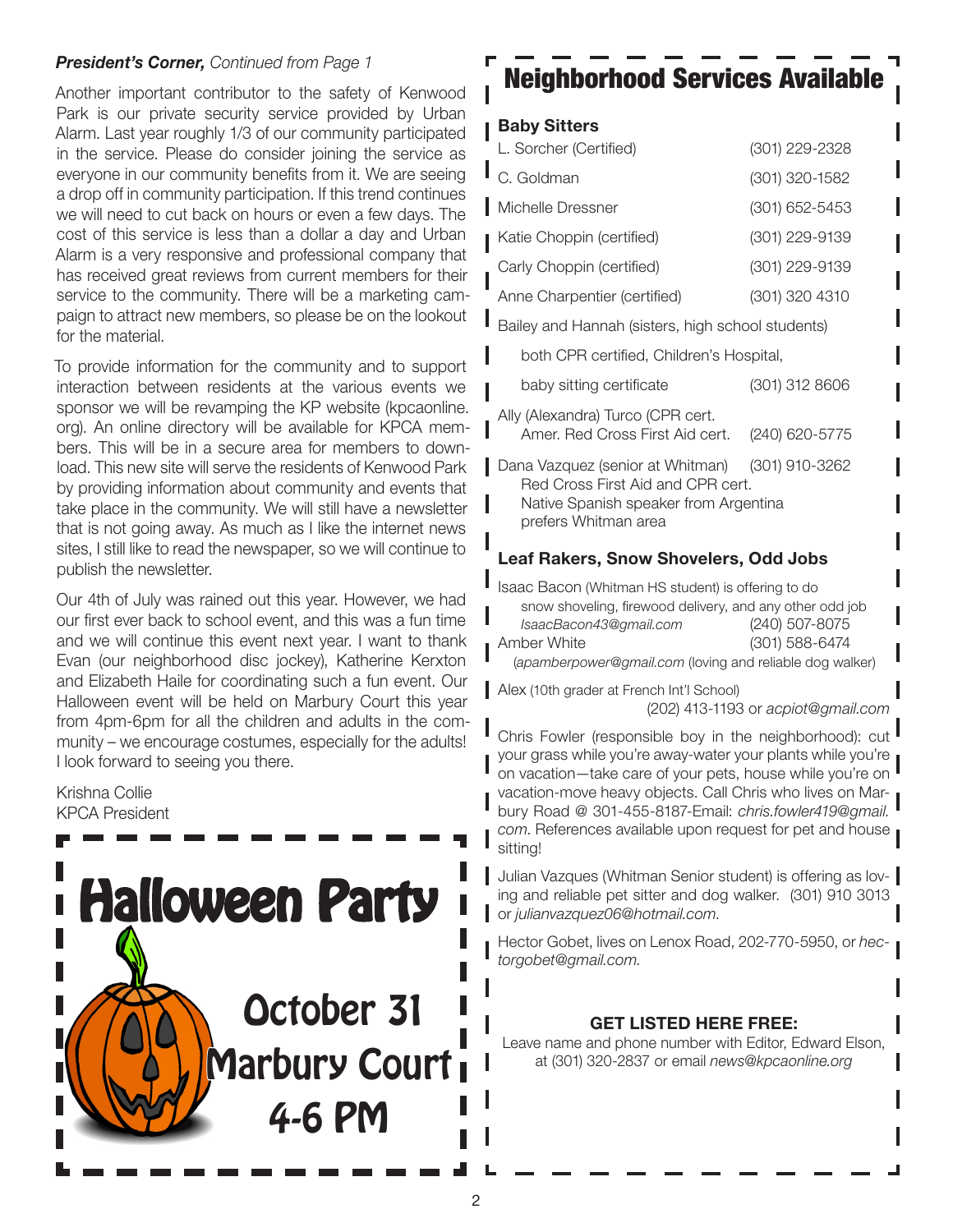Another important contributor to the safety of Kenwood Park is our private security service provided by Urban Alarm. Last year roughly 1/3 of our community participated in the service. Please do consider joining the service as everyone in our community benefits from it. We are seeing a drop off in community participation. If this trend continues we will need to cut back on hours or even a few days. The cost of this service is less than a dollar a day and Urban Alarm is a very responsive and professional company that has received great reviews from current members for their service to the community. There will be a marketing campaign to attract new members, so please be on the lookout for the material.

To provide information for the community and to support interaction between residents at the various events we sponsor we will be revamping the KP website (kpcaonline. org). An online directory will be available for KPCA members. This will be in a secure area for members to download. This new site will serve the residents of Kenwood Park by providing information about community and events that take place in the community. We will still have a newsletter that is not going away. As much as I like the internet news sites, I still like to read the newspaper, so we will continue to publish the newsletter.

Our 4th of July was rained out this year. However, we had our first ever back to school event, and this was a fun time and we will continue this event next year. I want to thank Evan (our neighborhood disc jockey), Katherine Kerxton and Elizabeth Haile for coordinating such a fun event. Our Halloween event will be held on Marbury Court this year from 4pm-6pm for all the children and adults in the community – we encourage costumes, especially for the adults! I look forward to seeing you there.

Krishna Collie KPCA President



# **President's Corner, Continued from Page 1**  $\blacksquare$   $\blacksquare$   $\blacksquare$   $\blacksquare$   $\blacksquare$   $\blacksquare$   $\blacksquare$   $\blacksquare$   $\blacksquare$   $\blacksquare$   $\blacksquare$   $\blacksquare$   $\blacksquare$   $\blacksquare$   $\blacksquare$   $\blacksquare$   $\blacksquare$   $\blacksquare$   $\blacksquare$   $\blacksquare$   $\blacksquare$   $\blacksquare$   $\blacksquare$   $\blacksquare$   $\blacksquare$   $\bl$

### Baby Sitters

| L. Sorcher (Certified)                                                                                                                                | (301) 229-2328 |
|-------------------------------------------------------------------------------------------------------------------------------------------------------|----------------|
| C. Goldman                                                                                                                                            | (301) 320-1582 |
| Michelle Dressner                                                                                                                                     | (301) 652-5453 |
| Katie Choppin (certified)                                                                                                                             | (301) 229-9139 |
| Carly Choppin (certified)                                                                                                                             | (301) 229-9139 |
| Anne Charpentier (certified)                                                                                                                          | (301) 320 4310 |
| Bailey and Hannah (sisters, high school students)                                                                                                     |                |
| both CPR certified, Children's Hospital,                                                                                                              |                |
| baby sitting certificate                                                                                                                              | (301) 312 8606 |
| Ally (Alexandra) Turco (CPR cert.<br>Amer. Red Cross First Aid cert.                                                                                  | (240) 620-5775 |
| Dana Vazquez (senior at Whitman) (301) 910-3262<br>Red Cross First Aid and CPR cert.<br>Native Spanish speaker from Argentina<br>prefers Whitman area |                |
| <b>Leaf Rakers, Snow Shovelers, Odd Jobs</b>                                                                                                          |                |

Isaac Bacon (Whitman HS student) is offering to do snow shoveling, firewood delivery, and any other odd job *IsaacBacon43@gmail.com* (240) 507-8075 Amber White (301) 588-6474 (*apamberpower@gmail.com* (loving and reliable dog walker)

Alex (10th grader at French Int'l School) (202) 413-1193 or *acpiot@gmail.com*

Chris Fowler (responsible boy in the neighborhood): cut your grass while you're away-water your plants while you're on vacation—take care of your pets, house while you're on vacation-move heavy objects. Call Chris who lives on Marbury Road @ 301-455-8187-Email: *chris.fowler419@gmail. com*. References available upon request for pet and house sitting!

Julian Vazques (Whitman Senior student) is offering as loving and reliable pet sitter and dog walker. (301) 910 3013 or *julianvazquez06@hotmail.com*.

Hector Gobet, lives on Lenox Road, 202-770-5950, or *hectorgobet@gmail.com.*

### GET LISTED HERE FREE:

Leave name and phone number with Editor, Edward Elson, at (301) 320-2837 or email *news@kpcaonline.org*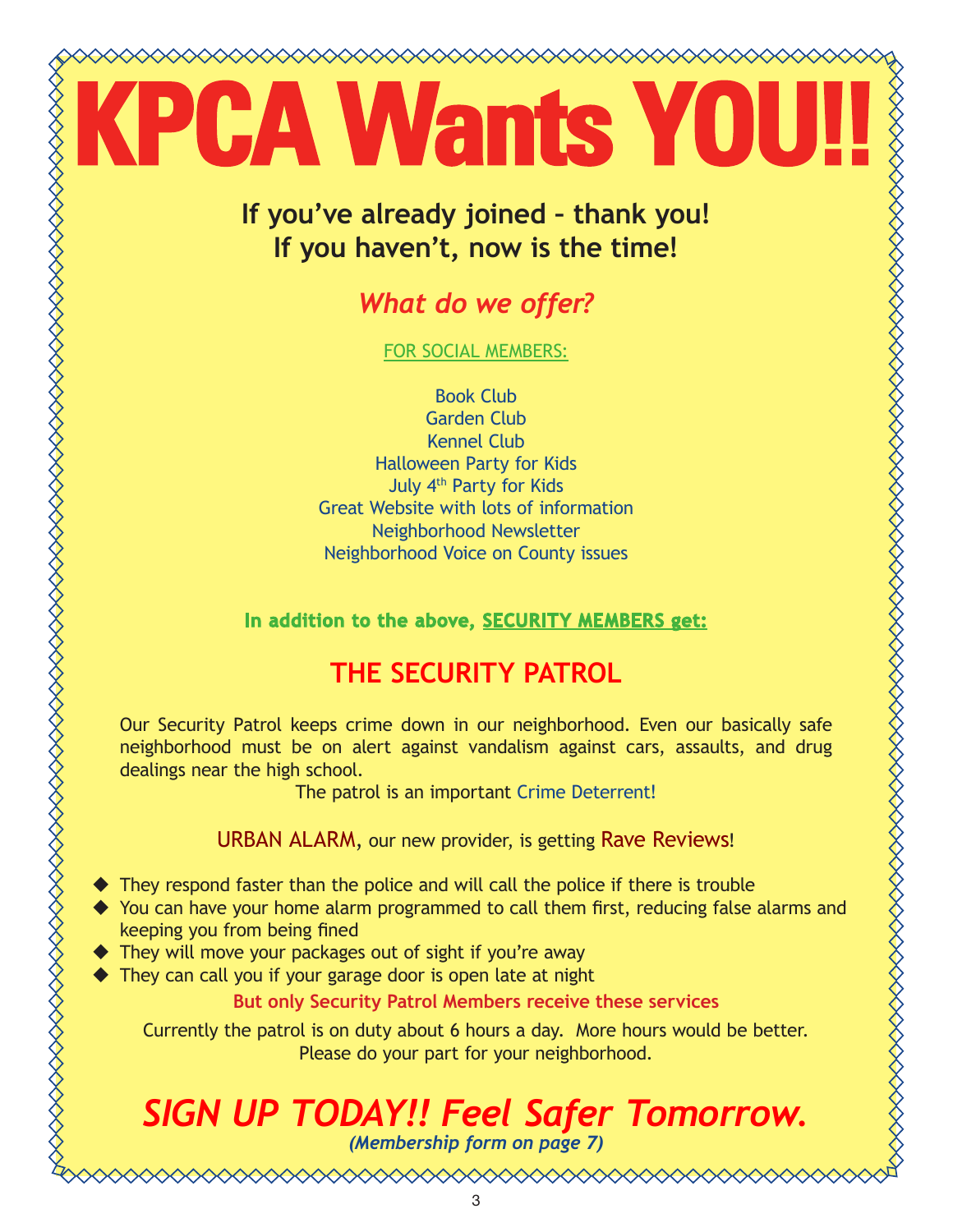# **Mants**

# **If you've already joined – thank you! If you haven't, now is the time!**

# *What do we offer?*

FOR SOCIAL MEMBERS:

Book Club Garden Club Kennel Club Halloween Party for Kids July 4th Party for Kids Great Website with lots of information Neighborhood Newsletter Neighborhood Voice on County issues

**In addition to the above, SECURITY MEMBERS get:**

# **THE SECURITY PATROL**

Our Security Patrol keeps crime down in our neighborhood. Even our basically safe neighborhood must be on alert against vandalism against cars, assaults, and drug dealings near the high school.

The patrol is an important Crime Deterrent!

URBAN ALARM, our new provider, is getting Rave Reviews!

- ◆ They respond faster than the police and will call the police if there is trouble
- You can have your home alarm programmed to call them first, reducing false alarms and keeping you from being fined
- They will move your packages out of sight if you're away
- ◆ They can call you if your garage door is open late at night

**But only Security Patrol Members receive these services**

Currently the patrol is on duty about 6 hours a day. More hours would be better. Please do your part for your neighborhood.

# *SIGN UP TODAY!! Feel Safer Tomorrow. (Membership form on page 7)*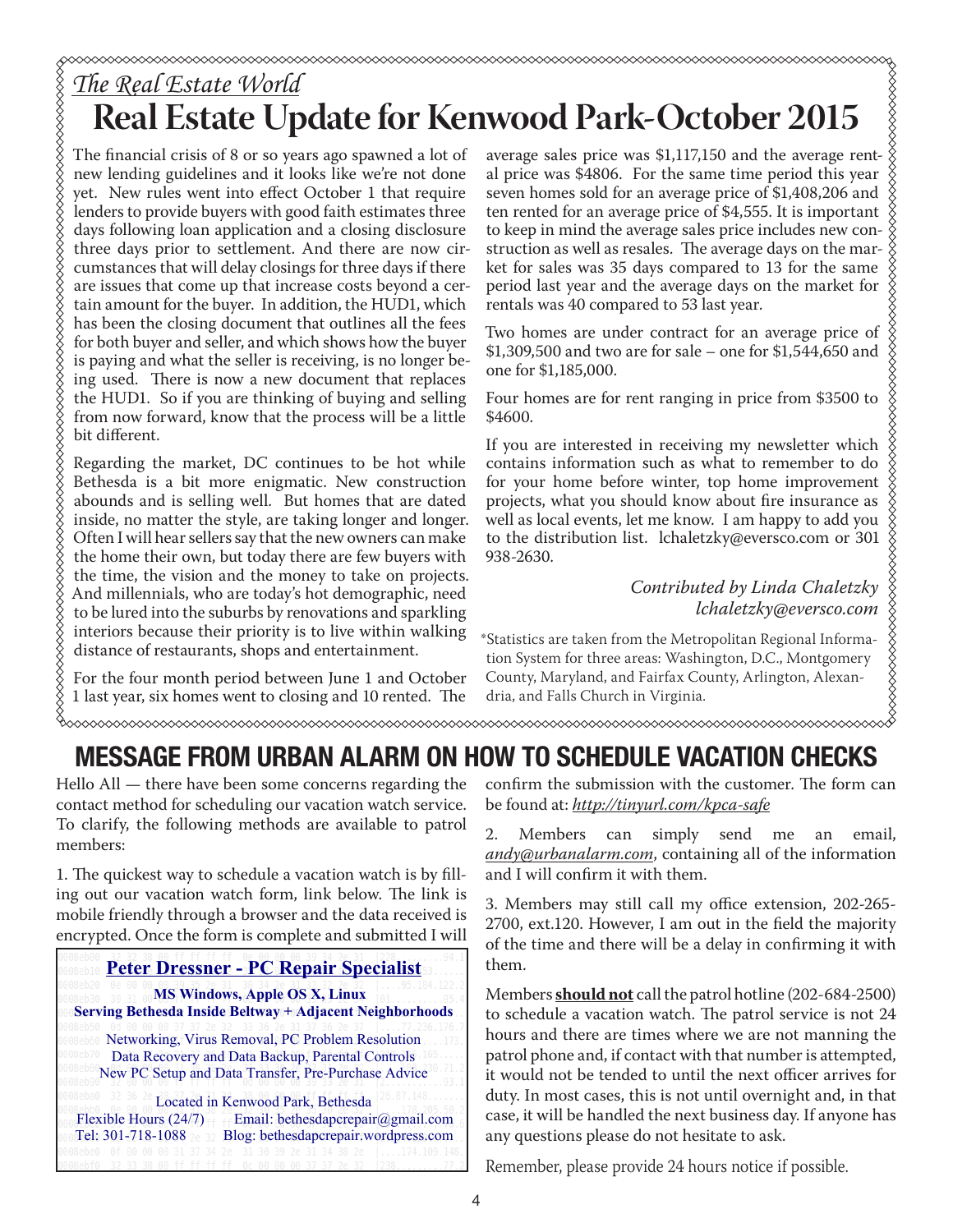# **Real Estate Update for Kenwood Park-October 2015**

The financial crisis of 8 or so years ago spawned a lot of new lending guidelines and it looks like we're not done yet. New rules went into effect October 1 that require lenders to provide buyers with good faith estimates three days following loan application and a closing disclosure three days prior to settlement. And there are now circumstances that will delay closings for three days if there are issues that come up that increase costs beyond a certain amount for the buyer. In addition, the HUD1, which has been the closing document that outlines all the fees for both buyer and seller, and which shows how the buyer is paying and what the seller is receiving, is no longer being used. There is now a new document that replaces the HUD1. So if you are thinking of buying and selling from now forward, know that the process will be a little bit different.

Regarding the market, DC continues to be hot while Bethesda is a bit more enigmatic. New construction abounds and is selling well. But homes that are dated inside, no matter the style, are taking longer and longer. Often I will hear sellers say that the new owners can make the home their own, but today there are few buyers with the time, the vision and the money to take on projects. And millennials, who are today's hot demographic, need to be lured into the suburbs by renovations and sparkling interiors because their priority is to live within walking distance of restaurants, shops and entertainment.

For the four month period between June 1 and October 1 last year, six homes went to closing and 10 rented. The

average sales price was \$1,117,150 and the average rental price was \$4806. For the same time period this year seven homes sold for an average price of \$1,408,206 and ten rented for an average price of \$4,555. It is important to keep in mind the average sales price includes new construction as well as resales. The average days on the market for sales was 35 days compared to 13 for the same period last year and the average days on the market for rentals was 40 compared to 53 last year.

Two homes are under contract for an average price of \$1,309,500 and two are for sale – one for \$1,544,650 and one for \$1,185,000.

Four homes are for rent ranging in price from \$3500 to \$4600.

If you are interested in receiving my newsletter which XXXXXXXXXXXXXXXXXXXXXXXXXXXXXXXXX contains information such as what to remember to do for your home before winter, top home improvement projects, what you should know about fire insurance as well as local events, let me know. I am happy to add you to the distribution list. lchaletzky@eversco.com or 301 938-2630.

*Contributed by Linda Chaletzky lchaletzky@eversco.com*

\*Statistics are taken from the Metropolitan Regional Information System for three areas: Washington, D.C., Montgomery County, Maryland, and Fairfax County, Arlington, Alexandria, and Falls Church in Virginia.

### $\sim$

# MESSAGE FROM URBAN ALARM ON HOW TO SCHEDULE VACATION CHECKS

Hello All — there have been some concerns regarding the contact method for scheduling our vacation watch service. To clarify, the following methods are available to patrol members:

1. The quickest way to schedule a vacation watch is by filling out our vacation watch form, link below. The link is mobile friendly through a browser and the data received is encrypted. Once the form is complete and submitted I will

### **Peter Dressner - PC Repair Specialist**

 **MS Windows, Apple OS X, Linux Serving Bethesda Inside Beltway + Adjacent Neighborhoods**

Networking, Virus Removal, PC Problem Resolution Data Recovery and Data Backup, Parental Controls New PC Setup and Data Transfer, Pre-Purchase Advice

Located in Kenwood Park, Bethesda Flexible Hours (24/7) Email: bethesdapcrepair@gmail.com Tel: 301-718-1088 20 32 Blog: bethesdapcrepair.wordpress.com

confirm the submission with the customer. The form can be found at: *http://tinyurl.com/kpca-safe*

2. Members can simply send me an email, *andy@urbanalarm.com*, containing all of the information and I will confirm it with them.

3. Members may still call my office extension, 202-265- 2700, ext.120. However, I am out in the field the majority of the time and there will be a delay in confirming it with them.

Members **should not** call the patrol hotline (202-684-2500) to schedule a vacation watch. The patrol service is not 24 hours and there are times where we are not manning the patrol phone and, if contact with that number is attempted, it would not be tended to until the next officer arrives for duty. In most cases, this is not until overnight and, in that case, it will be handled the next business day. If anyone has any questions please do not hesitate to ask.

Remember, please provide 24 hours notice if possible.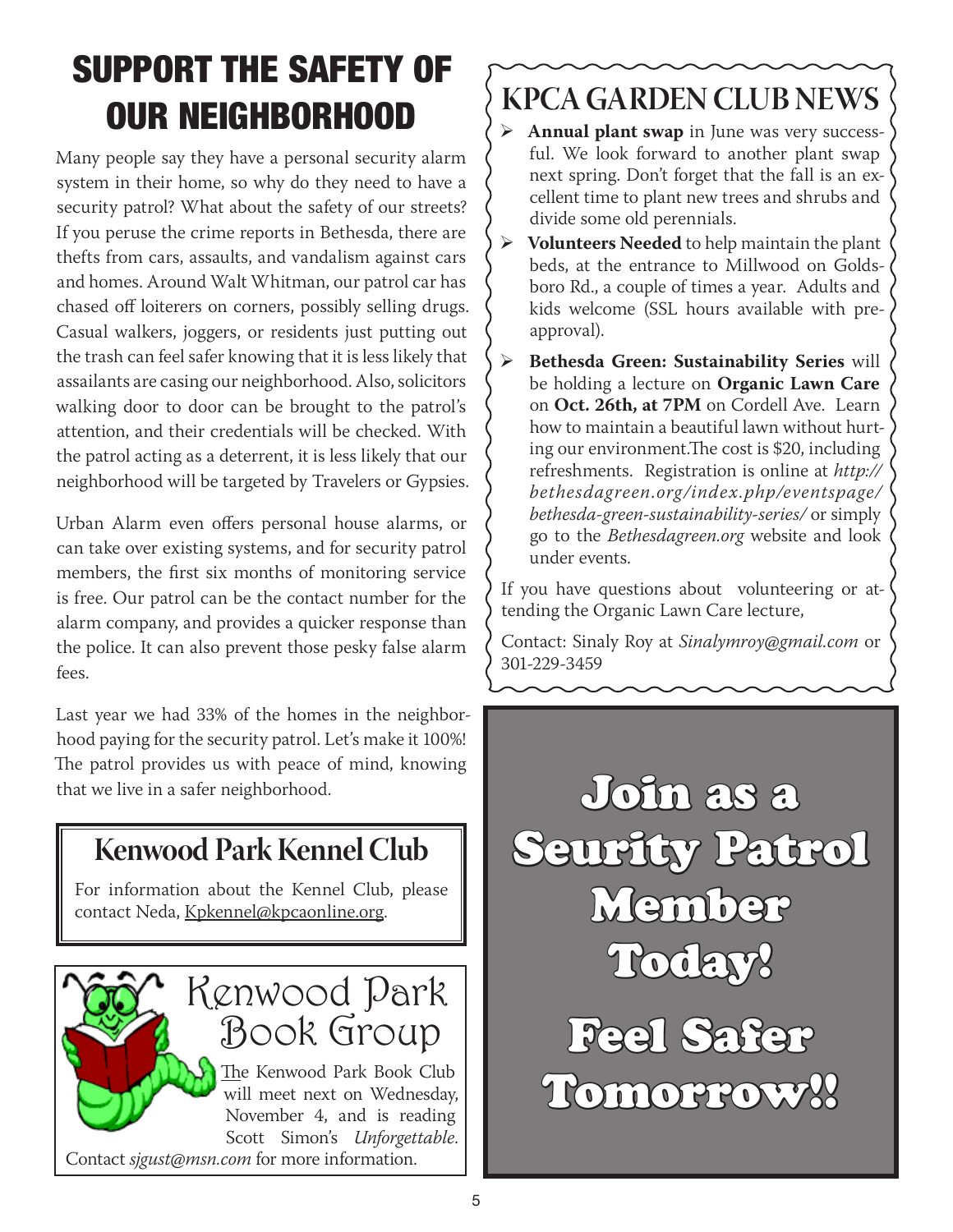# SUPPORT THE SAFETY OF OUR NEIGHBORHOOD

Many people say they have a personal security alarm system in their home, so why do they need to have a security patrol? What about the safety of our streets? If you peruse the crime reports in Bethesda, there are thefts from cars, assaults, and vandalism against cars and homes. Around Walt Whitman, our patrol car has chased off loiterers on corners, possibly selling drugs. Casual walkers, joggers, or residents just putting out the trash can feel safer knowing that it is less likely that assailants are casing our neighborhood. Also, solicitors walking door to door can be brought to the patrol's attention, and their credentials will be checked. With the patrol acting as a deterrent, it is less likely that our neighborhood will be targeted by Travelers or Gypsies.

Urban Alarm even offers personal house alarms, or can take over existing systems, and for security patrol members, the first six months of monitoring service is free. Our patrol can be the contact number for the alarm company, and provides a quicker response than the police. It can also prevent those pesky false alarm fees.

Last year we had 33% of the homes in the neighborhood paying for the security patrol. Let's make it 100%! The patrol provides us with peace of mind, knowing

# **Kenwood Park Kennel Club**

For information about the Kennel Club, please contact Neda, Kpkennel@kpcaonline.org.



# **KPCA GARDEN CLUB NEWS**

- ¾ **Annual plant swap** in June was very successful. We look forward to another plant swap next spring. Don't forget that the fall is an excellent time to plant new trees and shrubs and divide some old perennials.
- ¾ **Volunteers Needed** to help maintain the plant beds, at the entrance to Millwood on Goldsboro Rd., a couple of times a year. Adults and kids welcome (SSL hours available with preapproval).
- ¾ **Bethesda Green: Sustainability Series** will be holding a lecture on **Organic Lawn Care** on **Oct. 26th, at 7PM** on Cordell Ave. Learn how to maintain a beautiful lawn without hurting our environment.The cost is \$20, including refreshments. Registration is online at *http:// bethesdagreen.org/index.php/eventspage/ bethesda-green-sustainability-series/* or simply go to the *Bethesdagreen.org* website and look under events.

If you have questions about volunteering or attending the Organic Lawn Care lecture,

Contact: Sinaly Roy at *Sinalymroy@gmail.com* or 301-229-3459

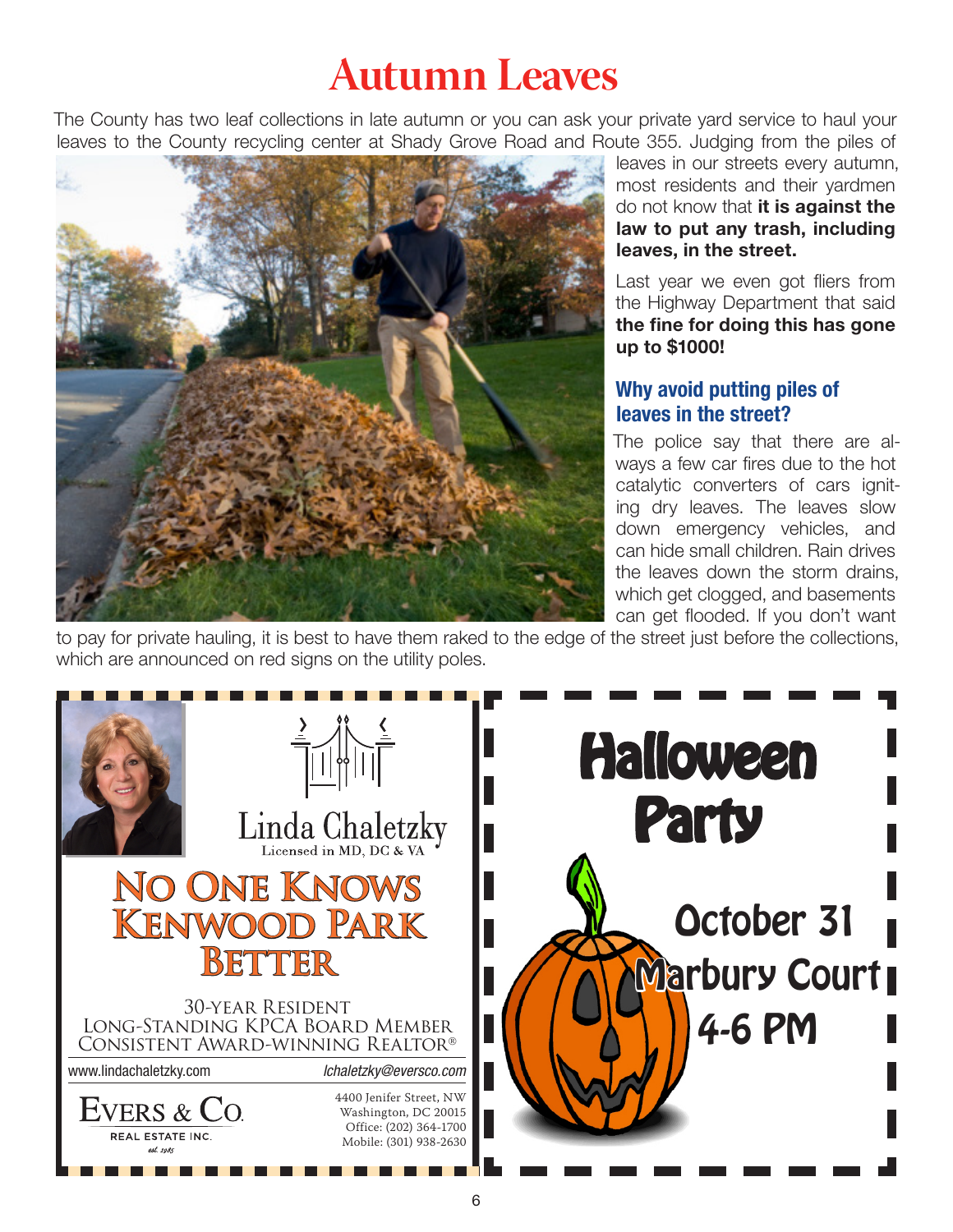# **Autumn Leaves**

The County has two leaf collections in late autumn or you can ask your private yard service to haul your leaves to the County recycling center at Shady Grove Road and Route 355. Judging from the piles of



leaves in our streets every autumn, most residents and their yardmen do not know that it is against the law to put any trash, including leaves, in the street.

Last year we even got fliers from the Highway Department that said the fine for doing this has gone up to \$1000!

### Why avoid putting piles of leaves in the street?

The police say that there are always a few car fires due to the hot catalytic converters of cars igniting dry leaves. The leaves slow down emergency vehicles, and can hide small children. Rain drives the leaves down the storm drains, which get clogged, and basements can get flooded. If you don't want

to pay for private hauling, it is best to have them raked to the edge of the street just before the collections, which are announced on red signs on the utility poles.

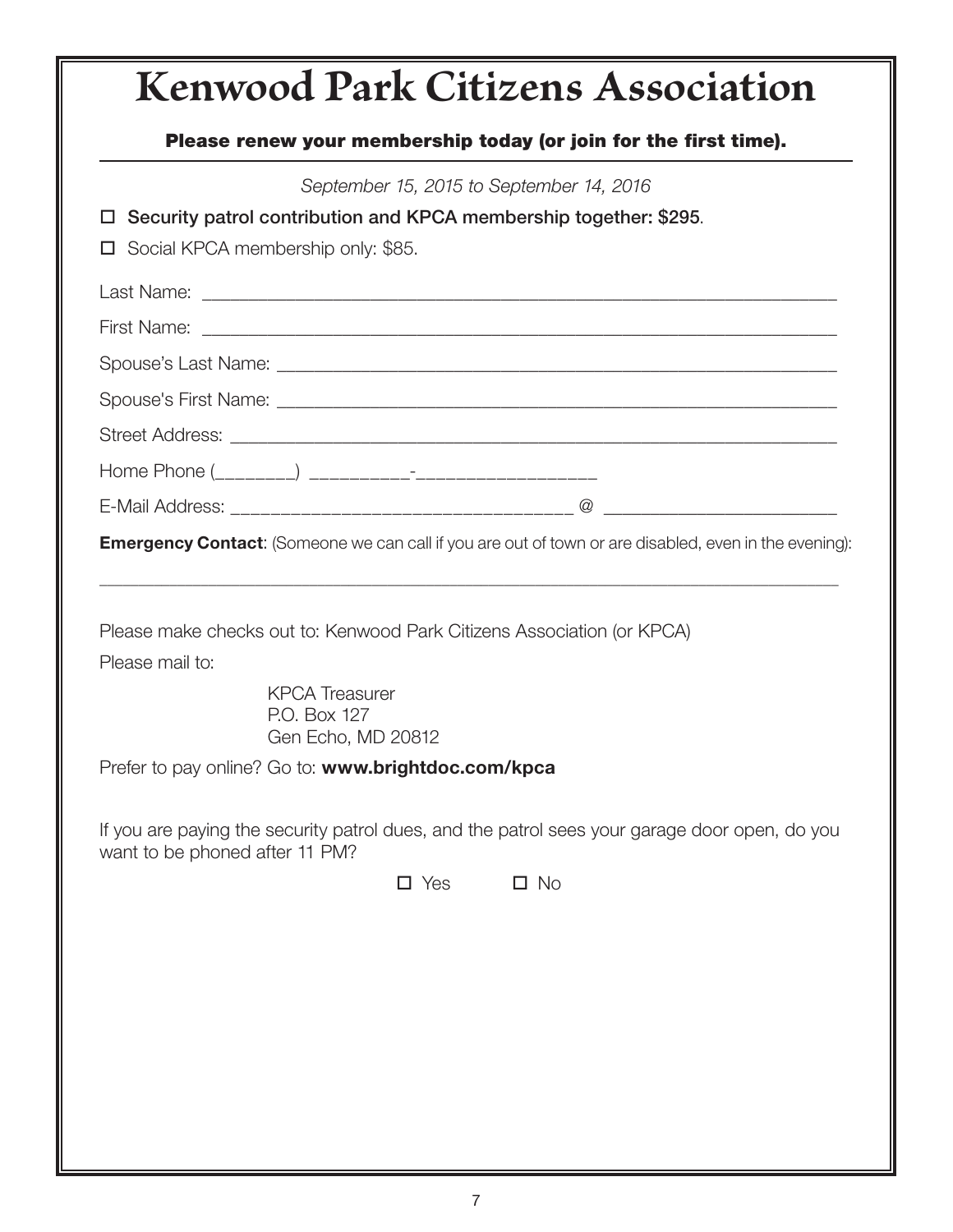# **Kenwood Park Citizens Association** Please renew your membership today (or join for the first time). *September 15, 2015 to September 14, 2016*  $\Box$  Security patrol contribution and KPCA membership together: \$295. □ Social KPCA membership only: \$85. Last Name: \_\_\_\_\_\_\_\_\_\_\_\_\_\_\_\_\_\_\_\_\_\_\_\_\_\_\_\_\_\_\_\_\_\_\_\_\_\_\_\_\_\_\_\_\_\_\_\_\_\_\_\_\_\_\_\_\_\_\_\_\_\_\_\_\_\_\_\_ First Name: \_\_\_\_\_\_\_\_\_\_\_\_\_\_\_\_\_\_\_\_\_\_\_\_\_\_\_\_\_\_\_\_\_\_\_\_\_\_\_\_\_\_\_\_\_\_\_\_\_\_\_\_\_\_\_\_\_\_\_\_\_\_\_\_\_\_\_\_ Spouse's Last Name: \_\_\_\_\_\_\_\_\_\_\_\_\_\_\_\_\_\_\_\_\_\_\_\_\_\_\_\_\_\_\_\_\_\_\_\_\_\_\_\_\_\_\_\_\_\_\_\_\_\_\_\_\_\_\_\_\_\_\_\_ Spouse's First Name: \_\_\_\_\_\_\_\_\_\_\_\_\_\_\_\_\_\_\_\_\_\_\_\_\_\_\_\_\_\_\_\_\_\_\_\_\_\_\_\_\_\_\_\_\_\_\_\_\_\_\_\_\_\_\_\_\_\_\_\_ Street Address: \_\_\_\_\_\_\_\_\_\_\_\_\_\_\_\_\_\_\_\_\_\_\_\_\_\_\_\_\_\_\_\_\_\_\_\_\_\_\_\_\_\_\_\_\_\_\_\_\_\_\_\_\_\_\_\_\_\_\_\_\_\_\_\_\_ Home Phone (\_\_\_\_\_\_\_\_) \_\_\_\_\_\_\_\_\_\_-\_\_\_\_\_\_\_\_\_\_\_\_\_\_\_\_\_\_ E-Mail Address:  $\hfill \Box$ **Emergency Contact:** (Someone we can call if you are out of town or are disabled, even in the evening): \_\_\_\_\_\_\_\_\_\_\_\_\_\_\_\_\_\_\_\_\_\_\_\_\_\_\_\_\_\_\_\_\_\_\_\_\_\_\_\_\_\_\_\_\_\_\_\_\_\_\_\_\_\_\_\_\_\_\_\_\_\_\_\_\_\_\_\_\_\_\_\_\_\_\_\_\_\_\_\_\_\_\_\_\_\_\_\_\_\_\_\_\_\_\_ Please make checks out to: Kenwood Park Citizens Association (or KPCA) Please mail to: KPCA Treasurer P.O. Box 127 Gen Echo, MD 20812 Prefer to pay online? Go to: www.brightdoc.com/kpca If you are paying the security patrol dues, and the patrol sees your garage door open, do you want to be phoned after 11 PM?  $\square$  Yes  $\square$  No